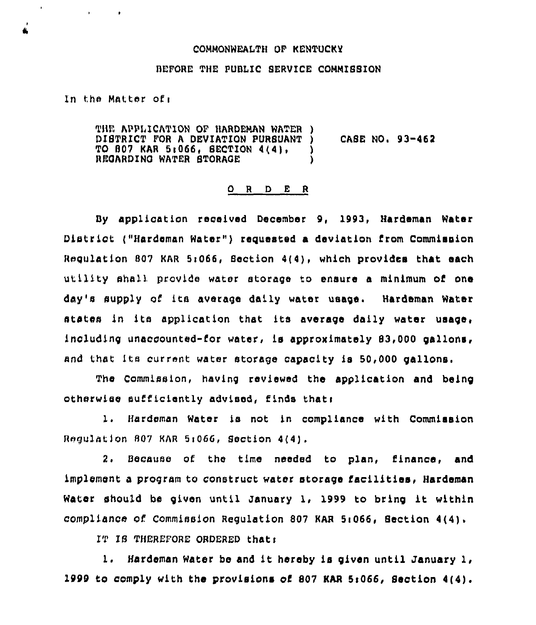## COMMONWEALTH OF KENTUCKY

## BEFORE THE PUBLIC SERVICE COMMIBBION

In the Matter of  $\mathbf{r}$ 

 $\mathbf{r} = \mathbf{r} + \mathbf{r}$  .  $\mathbf{r} = \mathbf{r}$ 

 $\bar{\mathbf{r}}$ 

THE APPLICATION OF HARDEMAN WATER ) DISTRICT FOR A DEVIATION PURSUANT ) CASE NO. 93-462 TO 807 KAR 5:066, SECTION 4(4), REGARDING WATER STORAGE

## O R D E R

By application received December 9, 1993, Hardeman Water District ("Hardeman Water") requested a deviation from Commission Regulation 807 KAR 5i066, Section 4(4), which provides that each utility shall provide water storage to ensure a minimum of one day's supply of its average daily water usage. Hardeman Water states in ita application that its average daily water usage, including unaccounted-for water, is approximately 83,000 gallons, and that its current water storage capacity is 50,000 gallons.

The Commission, having reviewed the application and being otherwise sufficiently advised, finds thati

 $1.$ Hardeman Water is not in compliance with Commission Regulat)on 807 KAR 5i066, Section 4(4).

2. Because of the time needed to plan, finance, and implement a program to construct water storage facilities, Hardeman Water should be given until January 1, 1999 to bring it within compliance of Commission Regulation 807 KAR 5:066, Section 4(4).

IT IS THEREFORE ORDERED that:

l. Herdsman Water be and it hereby is given until January 1, 1999 to comply with the provisions of 807 KAR Si066, Section 4(4).